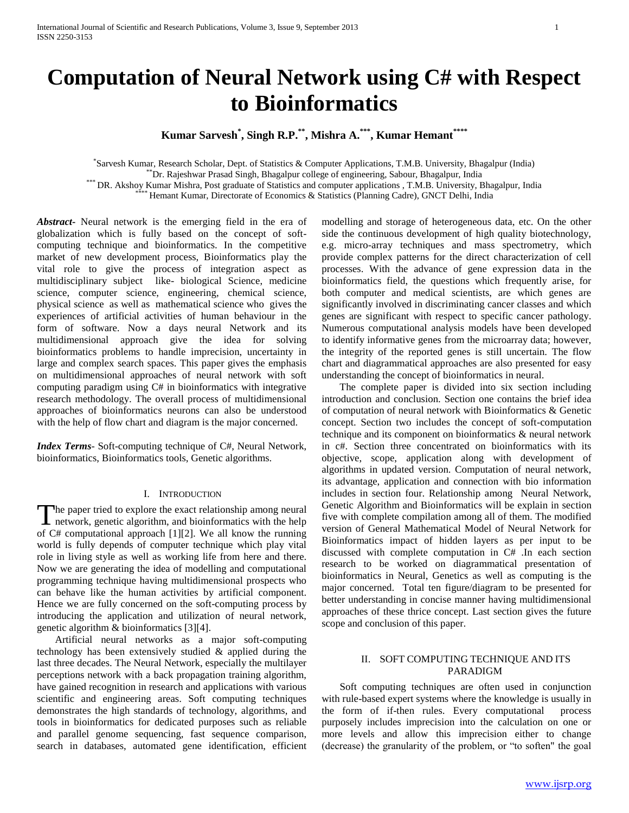# **Computation of Neural Network using C# with Respect to Bioinformatics**

**Kumar Sarvesh\* , Singh R.P.\*\*, Mishra A.\*\*\*, Kumar Hemant\*\*\*\***

\* Sarvesh Kumar, Research Scholar, Dept. of Statistics & Computer Applications, T.M.B. University, Bhagalpur (India) \*\*Dr. Rajeshwar Prasad Singh, Bhagalpur college of engineering, Sabour, Bhagalpur, India \*\*\* DR. Akshoy Kumar Mishra, Post graduate of Statistics and computer applications , T.M.B. University, Bhagalpur, India Hemant Kumar, Directorate of Economics & Statistics (Planning Cadre), GNCT Delhi, India

*Abstract***-** Neural network is the emerging field in the era of globalization which is fully based on the concept of softcomputing technique and bioinformatics. In the competitive market of new development process, Bioinformatics play the vital role to give the process of integration aspect as multidisciplinary subject like- biological Science, medicine science, computer science, engineering, chemical science, physical science as well as mathematical science who gives the experiences of artificial activities of human behaviour in the form of software. Now a days neural Network and its multidimensional approach give the idea for solving bioinformatics problems to handle imprecision, uncertainty in large and complex search spaces. This paper gives the emphasis on multidimensional approaches of neural network with soft computing paradigm using C# in bioinformatics with integrative research methodology. The overall process of multidimensional approaches of bioinformatics neurons can also be understood with the help of flow chart and diagram is the major concerned.

*Index Terms*- Soft-computing technique of C#, Neural Network, bioinformatics, Bioinformatics tools, Genetic algorithms.

## I. INTRODUCTION

The paper tried to explore the exact relationship among neural The paper tried to explore the exact relationship among neural<br>
network, genetic algorithm, and bioinformatics with the help of C# computational approach [1][2]. We all know the running world is fully depends of computer technique which play vital role in living style as well as working life from here and there. Now we are generating the idea of modelling and computational programming technique having multidimensional prospects who can behave like the human activities by artificial component. Hence we are fully concerned on the soft-computing process by introducing the application and utilization of neural network, genetic algorithm & bioinformatics [3][4].

 Artificial neural networks as a major soft-computing technology has been extensively studied & applied during the last three decades. The Neural Network, especially the multilayer perceptions network with a back propagation training algorithm, have gained recognition in research and applications with various scientific and engineering areas. Soft computing techniques demonstrates the high standards of technology, algorithms, and tools in bioinformatics for dedicated purposes such as reliable and parallel genome sequencing, fast sequence comparison, search in databases, automated gene identification, efficient

modelling and storage of heterogeneous data, etc. On the other side the continuous development of high quality biotechnology, e.g. micro-array techniques and mass spectrometry, which provide complex patterns for the direct characterization of cell processes. With the advance of gene expression data in the bioinformatics field, the questions which frequently arise, for both computer and medical scientists, are which genes are significantly involved in discriminating cancer classes and which genes are significant with respect to specific cancer pathology. Numerous computational analysis models have been developed to identify informative genes from the microarray data; however, the integrity of the reported genes is still uncertain. The flow chart and diagrammatical approaches are also presented for easy understanding the concept of bioinformatics in neural.

 The complete paper is divided into six section including introduction and conclusion. Section one contains the brief idea of computation of neural network with Bioinformatics & Genetic concept. Section two includes the concept of soft-computation technique and its component on bioinformatics & neural network in c#. Section three concentrated on bioinformatics with its objective, scope, application along with development of algorithms in updated version. Computation of neural network, its advantage, application and connection with bio information includes in section four. Relationship among Neural Network, Genetic Algorithm and Bioinformatics will be explain in section five with complete compilation among all of them. The modified version of General Mathematical Model of Neural Network for Bioinformatics impact of hidden layers as per input to be discussed with complete computation in C# .In each section research to be worked on diagrammatical presentation of bioinformatics in Neural, Genetics as well as computing is the major concerned. Total ten figure/diagram to be presented for better understanding in concise manner having multidimensional approaches of these thrice concept. Last section gives the future scope and conclusion of this paper.

# II. SOFT COMPUTING TECHNIQUE AND ITS PARADIGM

 Soft computing techniques are often used in conjunction with rule-based expert systems where the knowledge is usually in the form of if-then rules. Every computational process purposely includes imprecision into the calculation on one or more levels and allow this imprecision either to change (decrease) the granularity of the problem, or "to soften" the goal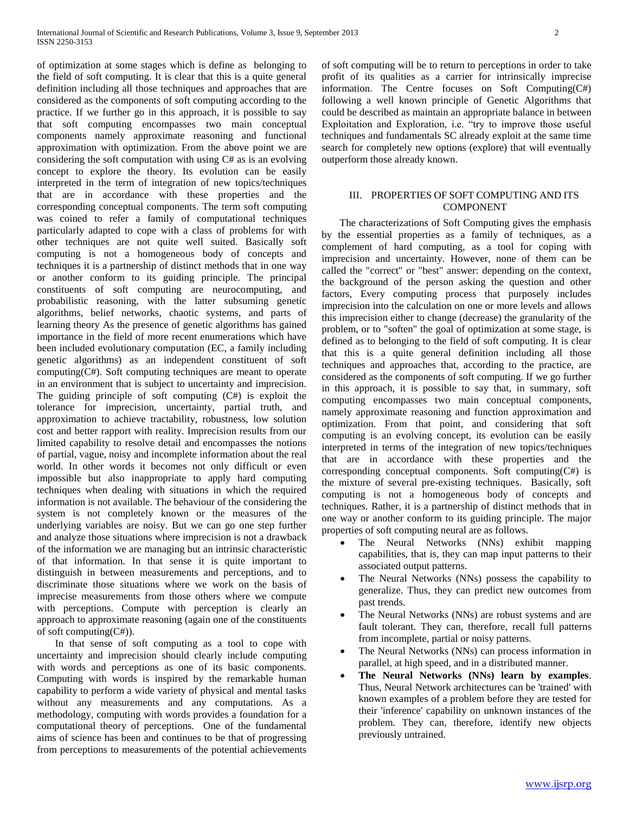of optimization at some stages which is define as belonging to the field of soft computing. It is clear that this is a quite general definition including all those techniques and approaches that are considered as the components of soft computing according to the practice. If we further go in this approach, it is possible to say that soft computing encompasses two main conceptual components namely approximate reasoning and functional approximation with optimization. From the above point we are considering the soft computation with using C# as is an evolving concept to explore the theory. Its evolution can be easily interpreted in the term of integration of new topics/techniques that are in accordance with these properties and the corresponding conceptual components. The term soft computing was coined to refer a family of computational techniques particularly adapted to cope with a class of problems for with other techniques are not quite well suited. Basically soft computing is not a homogeneous body of concepts and techniques it is a partnership of distinct methods that in one way or another conform to its guiding principle. The principal constituents of soft computing are neurocomputing, and probabilistic reasoning, with the latter subsuming genetic algorithms, belief networks, chaotic systems, and parts of learning theory As the presence of genetic algorithms has gained importance in the field of more recent enumerations which have been included evolutionary computation (EC, a family including genetic algorithms) as an independent constituent of soft computing(C#). Soft computing techniques are meant to operate in an environment that is subject to uncertainty and imprecision. The guiding principle of soft computing (C#) is exploit the tolerance for imprecision, uncertainty, partial truth, and approximation to achieve tractability, robustness, low solution cost and better rapport with reality. Imprecision results from our limited capability to resolve detail and encompasses the notions of partial, vague, noisy and incomplete information about the real world. In other words it becomes not only difficult or even impossible but also inappropriate to apply hard computing techniques when dealing with situations in which the required information is not available. The behaviour of the considering the system is not completely known or the measures of the underlying variables are noisy. But we can go one step further and analyze those situations where imprecision is not a drawback of the information we are managing but an intrinsic characteristic of that information. In that sense it is quite important to distinguish in between measurements and perceptions, and to discriminate those situations where we work on the basis of imprecise measurements from those others where we compute with perceptions. Compute with perception is clearly an approach to approximate reasoning (again one of the constituents of soft computing $(C#)$ ).

 In that sense of soft computing as a tool to cope with uncertainty and imprecision should clearly include computing with words and perceptions as one of its basic components. Computing with words is inspired by the remarkable human capability to perform a wide variety of physical and mental tasks without any measurements and any computations. As a methodology, computing with words provides a foundation for a computational theory of perceptions. One of the fundamental aims of science has been and continues to be that of progressing from perceptions to measurements of the potential achievements

of soft computing will be to return to perceptions in order to take profit of its qualities as a carrier for intrinsically imprecise information. The Centre focuses on Soft Computing(C#) following a well known principle of Genetic Algorithms that could be described as maintain an appropriate balance in between Exploitation and Exploration, i.e. "try to improve those useful techniques and fundamentals SC already exploit at the same time search for completely new options (explore) that will eventually outperform those already known.

## III. PROPERTIES OF SOFT COMPUTING AND ITS COMPONENT

 The characterizations of Soft Computing gives the emphasis by the essential properties as a family of techniques, as a complement of hard computing, as a tool for coping with imprecision and uncertainty. However, none of them can be called the "correct" or "best" answer: depending on the context, the background of the person asking the question and other factors, Every computing process that purposely includes imprecision into the calculation on one or more levels and allows this imprecision either to change (decrease) the granularity of the problem, or to "soften" the goal of optimization at some stage, is defined as to belonging to the field of soft computing. It is clear that this is a quite general definition including all those techniques and approaches that, according to the practice, are considered as the components of soft computing. If we go further in this approach, it is possible to say that, in summary, soft computing encompasses two main conceptual components, namely approximate reasoning and function approximation and optimization. From that point, and considering that soft computing is an evolving concept, its evolution can be easily interpreted in terms of the integration of new topics/techniques that are in accordance with these properties and the corresponding conceptual components. Soft computing( $C#$ ) is the mixture of several pre-existing techniques. Basically, soft computing is not a homogeneous body of concepts and techniques. Rather, it is a partnership of distinct methods that in one way or another conform to its guiding principle. The major properties of soft computing neural are as follows.

- The Neural Networks (NNs) exhibit mapping capabilities, that is, they can map input patterns to their associated output patterns.
- The Neural Networks (NNs) possess the capability to generalize. Thus, they can predict new outcomes from past trends.
- The Neural Networks (NNs) are robust systems and are fault tolerant. They can, therefore, recall full patterns from incomplete, partial or noisy patterns.
- The Neural Networks (NNs) can process information in parallel, at high speed, and in a distributed manner.
- **The Neural Networks (NNs) learn by examples**. Thus, Neural Network architectures can be 'trained' with known examples of a problem before they are tested for their 'inference' capability on unknown instances of the problem. They can, therefore, identify new objects previously untrained.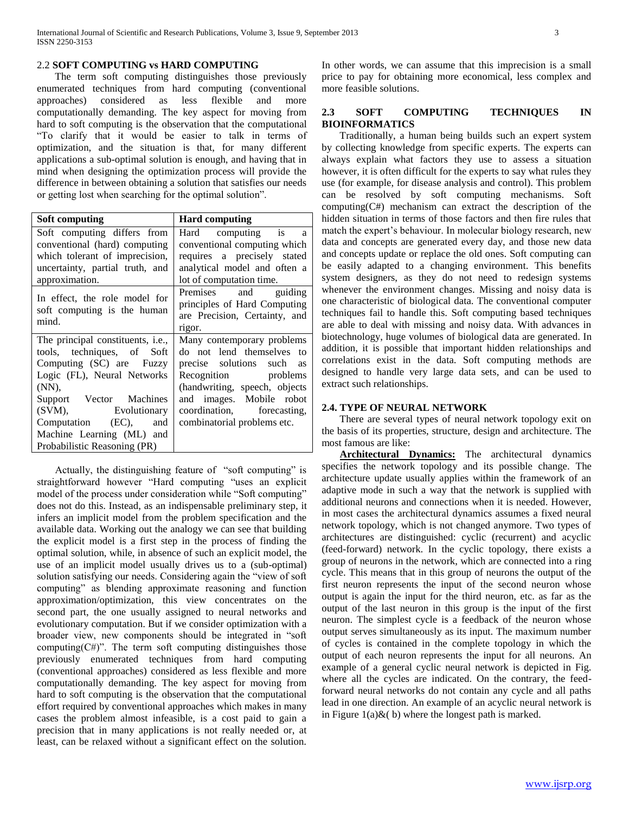## 2.2 **SOFT COMPUTING vs HARD COMPUTING**

 The term soft computing distinguishes those previously enumerated techniques from hard computing (conventional approaches) considered as less flexible and more computationally demanding. The key aspect for moving from hard to soft computing is the observation that the computational "To clarify that it would be easier to talk in terms of optimization, and the situation is that, for many different applications a sub-optimal solution is enough, and having that in mind when designing the optimization process will provide the difference in between obtaining a solution that satisfies our needs or getting lost when searching for the optimal solution".

| Soft computing                    | <b>Hard computing</b>            |
|-----------------------------------|----------------------------------|
| Soft computing differs from       | Hard computing is $\overline{a}$ |
| conventional (hard) computing     | conventional computing which     |
| which tolerant of imprecision,    | requires a precisely stated      |
| uncertainty, partial truth, and   | analytical model and often a     |
| approximation.                    | lot of computation time.         |
| In effect, the role model for     | Premises and guiding             |
| soft computing is the human       | principles of Hard Computing     |
| mind.                             | are Precision, Certainty, and    |
|                                   | rigor.                           |
| The principal constituents, i.e., | Many contemporary problems       |
| tools, techniques, of Soft        | do not lend themselves to        |
| Computing (SC) are Fuzzy          | precise solutions such as        |
| Logic (FL), Neural Networks       | Recognition problems             |
| $(NN)$ ,                          | (handwriting, speech, objects    |
| Support Vector Machines           | and images. Mobile robot         |
| (SVM), Evolutionary               | coordination, forecasting,       |
| Computation (EC), and             | combinatorial problems etc.      |
| Machine Learning (ML) and         |                                  |
| Probabilistic Reasoning (PR)      |                                  |

 Actually, the distinguishing feature of "soft computing" is straightforward however "Hard computing "uses an explicit model of the process under consideration while "Soft computing" does not do this. Instead, as an indispensable preliminary step, it infers an implicit model from the problem specification and the available data. Working out the analogy we can see that building the explicit model is a first step in the process of finding the optimal solution, while, in absence of such an explicit model, the use of an implicit model usually drives us to a (sub-optimal) solution satisfying our needs. Considering again the "view of soft computing" as blending approximate reasoning and function approximation/optimization, this view concentrates on the second part, the one usually assigned to neural networks and evolutionary computation. But if we consider optimization with a broader view, new components should be integrated in "soft computing( $C#$ )". The term soft computing distinguishes those previously enumerated techniques from hard computing (conventional approaches) considered as less flexible and more computationally demanding. The key aspect for moving from hard to soft computing is the observation that the computational effort required by conventional approaches which makes in many cases the problem almost infeasible, is a cost paid to gain a precision that in many applications is not really needed or, at least, can be relaxed without a significant effect on the solution. In other words, we can assume that this imprecision is a small price to pay for obtaining more economical, less complex and more feasible solutions.

## **2.3 SOFT COMPUTING TECHNIQUES IN BIOINFORMATICS**

 Traditionally, a human being builds such an expert system by collecting knowledge from specific experts. The experts can always explain what factors they use to assess a situation however, it is often difficult for the experts to say what rules they use (for example, for disease analysis and control). This problem can be resolved by soft computing mechanisms. Soft computing(C#) mechanism can extract the description of the hidden situation in terms of those factors and then fire rules that match the expert's behaviour. In molecular biology research, new data and concepts are generated every day, and those new data and concepts update or replace the old ones. Soft computing can be easily adapted to a changing environment. This benefits system designers, as they do not need to redesign systems whenever the environment changes. Missing and noisy data is one characteristic of biological data. The conventional computer techniques fail to handle this. Soft computing based techniques are able to deal with missing and noisy data. With advances in biotechnology, huge volumes of biological data are generated. In addition, it is possible that important hidden relationships and correlations exist in the data. Soft computing methods are designed to handle very large data sets, and can be used to extract such relationships.

## **2.4. TYPE OF NEURAL NETWORK**

 There are several types of neural network topology exit on the basis of its properties, structure, design and architecture. The most famous are like:

 **Architectural Dynamics:** The architectural dynamics specifies the network topology and its possible change. The architecture update usually applies within the framework of an adaptive mode in such a way that the network is supplied with additional neurons and connections when it is needed. However, in most cases the architectural dynamics assumes a fixed neural network topology, which is not changed anymore. Two types of architectures are distinguished: cyclic (recurrent) and acyclic (feed-forward) network. In the cyclic topology, there exists a group of neurons in the network, which are connected into a ring cycle. This means that in this group of neurons the output of the first neuron represents the input of the second neuron whose output is again the input for the third neuron, etc. as far as the output of the last neuron in this group is the input of the first neuron. The simplest cycle is a feedback of the neuron whose output serves simultaneously as its input. The maximum number of cycles is contained in the complete topology in which the output of each neuron represents the input for all neurons. An example of a general cyclic neural network is depicted in Fig. where all the cycles are indicated. On the contrary, the feedforward neural networks do not contain any cycle and all paths lead in one direction. An example of an acyclic neural network is in Figure  $1(a)$ &(b) where the longest path is marked.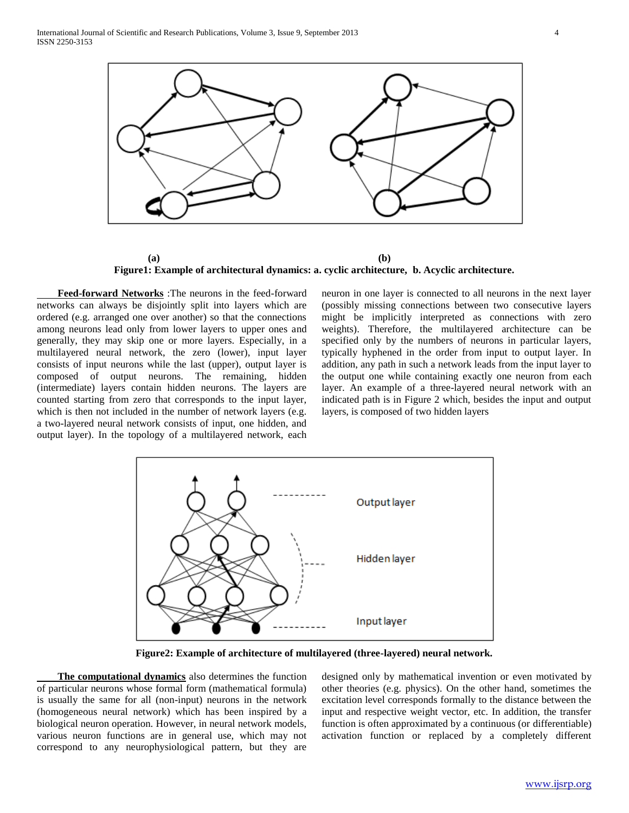

**(a) (b) Figure1: Example of architectural dynamics: a. cyclic architecture, b. Acyclic architecture.**

 **Feed-forward Networks** :The neurons in the feed-forward networks can always be disjointly split into layers which are ordered (e.g. arranged one over another) so that the connections among neurons lead only from lower layers to upper ones and generally, they may skip one or more layers. Especially, in a multilayered neural network, the zero (lower), input layer consists of input neurons while the last (upper), output layer is composed of output neurons. The remaining, hidden (intermediate) layers contain hidden neurons. The layers are counted starting from zero that corresponds to the input layer, which is then not included in the number of network layers (e.g. a two-layered neural network consists of input, one hidden, and output layer). In the topology of a multilayered network, each

neuron in one layer is connected to all neurons in the next layer (possibly missing connections between two consecutive layers might be implicitly interpreted as connections with zero weights). Therefore, the multilayered architecture can be specified only by the numbers of neurons in particular layers, typically hyphened in the order from input to output layer. In addition, any path in such a network leads from the input layer to the output one while containing exactly one neuron from each layer. An example of a three-layered neural network with an indicated path is in Figure 2 which, besides the input and output layers, is composed of two hidden layers



**Figure2: Example of architecture of multilayered (three-layered) neural network.**

 **The computational dynamics** also determines the function of particular neurons whose formal form (mathematical formula) is usually the same for all (non-input) neurons in the network (homogeneous neural network) which has been inspired by a biological neuron operation. However, in neural network models, various neuron functions are in general use, which may not correspond to any neurophysiological pattern, but they are designed only by mathematical invention or even motivated by other theories (e.g. physics). On the other hand, sometimes the excitation level corresponds formally to the distance between the input and respective weight vector, etc. In addition, the transfer function is often approximated by a continuous (or differentiable) activation function or replaced by a completely different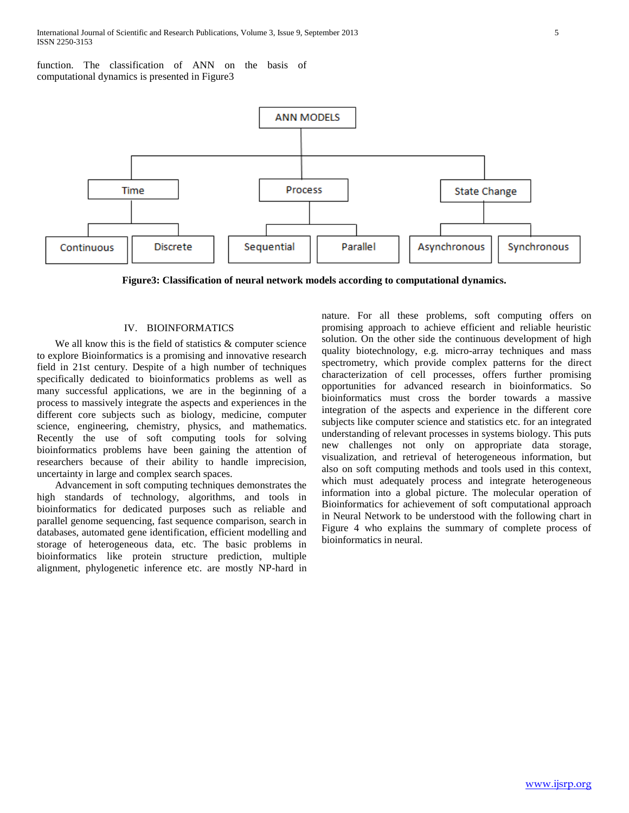function. The classification of ANN on the basis of computational dynamics is presented in Figure3



**Figure3: Classification of neural network models according to computational dynamics.**

## IV. BIOINFORMATICS

We all know this is the field of statistics  $\&$  computer science to explore Bioinformatics is a promising and innovative research field in 21st century. Despite of a high number of techniques specifically dedicated to bioinformatics problems as well as many successful applications, we are in the beginning of a process to massively integrate the aspects and experiences in the different core subjects such as biology, medicine, computer science, engineering, chemistry, physics, and mathematics. Recently the use of soft computing tools for solving bioinformatics problems have been gaining the attention of researchers because of their ability to handle imprecision, uncertainty in large and complex search spaces.

 Advancement in soft computing techniques demonstrates the high standards of technology, algorithms, and tools in bioinformatics for dedicated purposes such as reliable and parallel genome sequencing, fast sequence comparison, search in databases, automated gene identification, efficient modelling and storage of heterogeneous data, etc. The basic problems in bioinformatics like protein structure prediction, multiple alignment, phylogenetic inference etc. are mostly NP-hard in nature. For all these problems, soft computing offers on promising approach to achieve efficient and reliable heuristic solution. On the other side the continuous development of high quality biotechnology, e.g. micro-array techniques and mass spectrometry, which provide complex patterns for the direct characterization of cell processes, offers further promising opportunities for advanced research in bioinformatics. So bioinformatics must cross the border towards a massive integration of the aspects and experience in the different core subjects like computer science and statistics etc. for an integrated understanding of relevant processes in systems biology. This puts new challenges not only on appropriate data storage, visualization, and retrieval of heterogeneous information, but also on soft computing methods and tools used in this context, which must adequately process and integrate heterogeneous information into a global picture. The molecular operation of Bioinformatics for achievement of soft computational approach in Neural Network to be understood with the following chart in Figure 4 who explains the summary of complete process of bioinformatics in neural.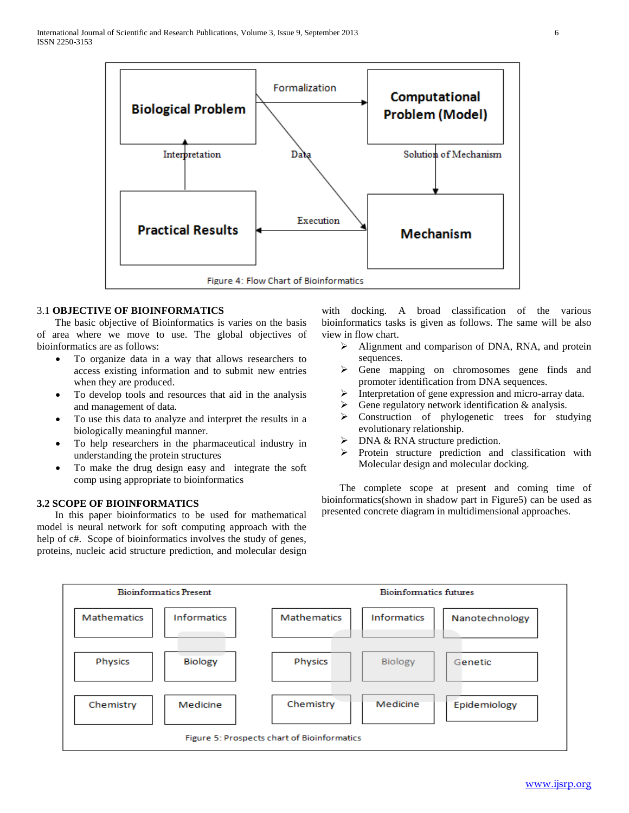

## 3.1 **OBJECTIVE OF BIOINFORMATICS**

 The basic objective of Bioinformatics is varies on the basis of area where we move to use. The global objectives of bioinformatics are as follows:

- To organize data in a way that allows researchers to access existing information and to submit new entries when they are produced.
- To develop tools and resources that aid in the analysis and management of data.
- To use this data to analyze and interpret the results in a biologically meaningful manner.
- To help researchers in the pharmaceutical industry in understanding the protein structures
- To make the drug design easy and integrate the soft comp using appropriate to bioinformatics

### **3.2 SCOPE OF BIOINFORMATICS**

 In this paper bioinformatics to be used for mathematical model is neural network for soft computing approach with the help of  $c\#$ . Scope of bioinformatics involves the study of genes, proteins, nucleic acid structure prediction, and molecular design with docking. A broad classification of the various bioinformatics tasks is given as follows. The same will be also view in flow chart.

- Alignment and comparison of DNA, RNA, and protein sequences.
- Gene mapping on chromosomes gene finds and promoter identification from DNA sequences.
- $\triangleright$  Interpretation of gene expression and micro-array data.
- $\triangleright$  Gene regulatory network identification & analysis.
- $\triangleright$  Construction of phylogenetic trees for studying evolutionary relationship.
- $\triangleright$  DNA & RNA structure prediction.
- $\triangleright$  Protein structure prediction and classification with Molecular design and molecular docking.

 The complete scope at present and coming time of bioinformatics(shown in shadow part in Figure5) can be used as presented concrete diagram in multidimensional approaches.

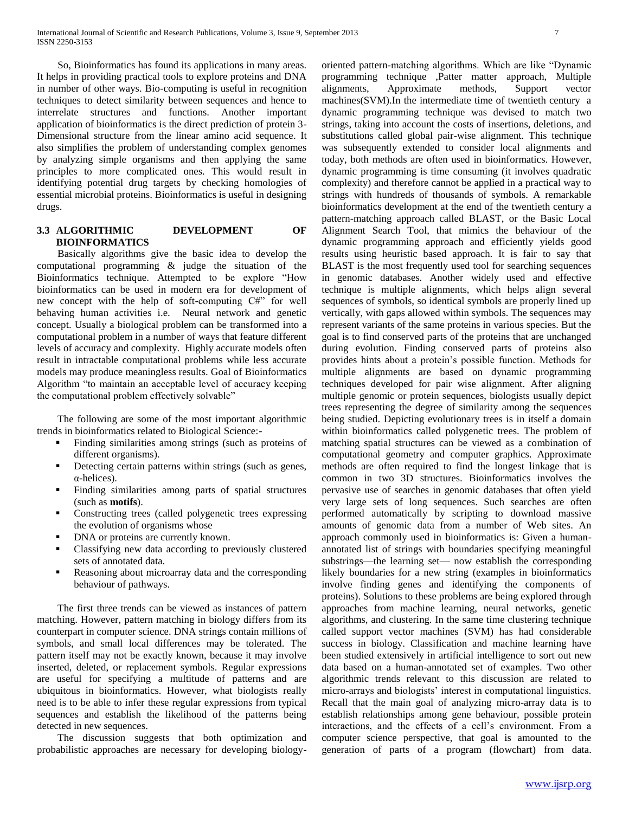So, Bioinformatics has found its applications in many areas. It helps in providing practical tools to explore proteins and DNA in number of other ways. Bio-computing is useful in recognition techniques to detect similarity between sequences and hence to interrelate structures and functions. Another important application of bioinformatics is the direct prediction of protein 3- Dimensional structure from the linear amino acid sequence. It also simplifies the problem of understanding complex genomes by analyzing simple organisms and then applying the same principles to more complicated ones. This would result in identifying potential drug targets by checking homologies of essential microbial proteins. Bioinformatics is useful in designing drugs.

## **3.3 ALGORITHMIC DEVELOPMENT OF BIOINFORMATICS**

 Basically algorithms give the basic idea to develop the computational programming & judge the situation of the Bioinformatics technique. Attempted to be explore "How bioinformatics can be used in modern era for development of new concept with the help of soft-computing C#" for well behaving human activities i.e. Neural network and genetic concept. Usually a biological problem can be transformed into a computational problem in a number of ways that feature different levels of accuracy and complexity. Highly accurate models often result in intractable computational problems while less accurate models may produce meaningless results. Goal of Bioinformatics Algorithm "to maintain an acceptable level of accuracy keeping the computational problem effectively solvable"

 The following are some of the most important algorithmic trends in bioinformatics related to Biological Science:-

- Finding similarities among strings (such as proteins of different organisms).
- Detecting certain patterns within strings (such as genes, α-helices).
- Finding similarities among parts of spatial structures (such as **motifs**).
- Constructing trees (called polygenetic trees expressing the evolution of organisms whose
- DNA or proteins are currently known.
- Classifying new data according to previously clustered sets of annotated data.
- Reasoning about microarray data and the corresponding behaviour of pathways.

 The first three trends can be viewed as instances of pattern matching. However, pattern matching in biology differs from its counterpart in computer science. DNA strings contain millions of symbols, and small local differences may be tolerated. The pattern itself may not be exactly known, because it may involve inserted, deleted, or replacement symbols. Regular expressions are useful for specifying a multitude of patterns and are ubiquitous in bioinformatics. However, what biologists really need is to be able to infer these regular expressions from typical sequences and establish the likelihood of the patterns being detected in new sequences.

 The discussion suggests that both optimization and probabilistic approaches are necessary for developing biologyoriented pattern-matching algorithms. Which are like "Dynamic programming technique ,Patter matter approach, Multiple alignments, Approximate methods, Support vector machines(SVM).In the intermediate time of twentieth century a dynamic programming technique was devised to match two strings, taking into account the costs of insertions, deletions, and substitutions called global pair-wise alignment. This technique was subsequently extended to consider local alignments and today, both methods are often used in bioinformatics. However, dynamic programming is time consuming (it involves quadratic complexity) and therefore cannot be applied in a practical way to strings with hundreds of thousands of symbols. A remarkable bioinformatics development at the end of the twentieth century a pattern-matching approach called BLAST, or the Basic Local Alignment Search Tool, that mimics the behaviour of the dynamic programming approach and efficiently yields good results using heuristic based approach. It is fair to say that BLAST is the most frequently used tool for searching sequences in genomic databases. Another widely used and effective technique is multiple alignments, which helps align several sequences of symbols, so identical symbols are properly lined up vertically, with gaps allowed within symbols. The sequences may represent variants of the same proteins in various species. But the goal is to find conserved parts of the proteins that are unchanged during evolution. Finding conserved parts of proteins also provides hints about a protein's possible function. Methods for multiple alignments are based on dynamic programming techniques developed for pair wise alignment. After aligning multiple genomic or protein sequences, biologists usually depict trees representing the degree of similarity among the sequences being studied. Depicting evolutionary trees is in itself a domain within bioinformatics called polygenetic trees. The problem of matching spatial structures can be viewed as a combination of computational geometry and computer graphics. Approximate methods are often required to find the longest linkage that is common in two 3D structures. Bioinformatics involves the pervasive use of searches in genomic databases that often yield very large sets of long sequences. Such searches are often performed automatically by scripting to download massive amounts of genomic data from a number of Web sites. An approach commonly used in bioinformatics is: Given a humanannotated list of strings with boundaries specifying meaningful substrings—the learning set— now establish the corresponding likely boundaries for a new string (examples in bioinformatics involve finding genes and identifying the components of proteins). Solutions to these problems are being explored through approaches from machine learning, neural networks, genetic algorithms, and clustering. In the same time clustering technique called support vector machines (SVM) has had considerable success in biology. Classification and machine learning have been studied extensively in artificial intelligence to sort out new data based on a human-annotated set of examples. Two other algorithmic trends relevant to this discussion are related to micro-arrays and biologists' interest in computational linguistics. Recall that the main goal of analyzing micro-array data is to establish relationships among gene behaviour, possible protein interactions, and the effects of a cell's environment. From a computer science perspective, that goal is amounted to the generation of parts of a program (flowchart) from data.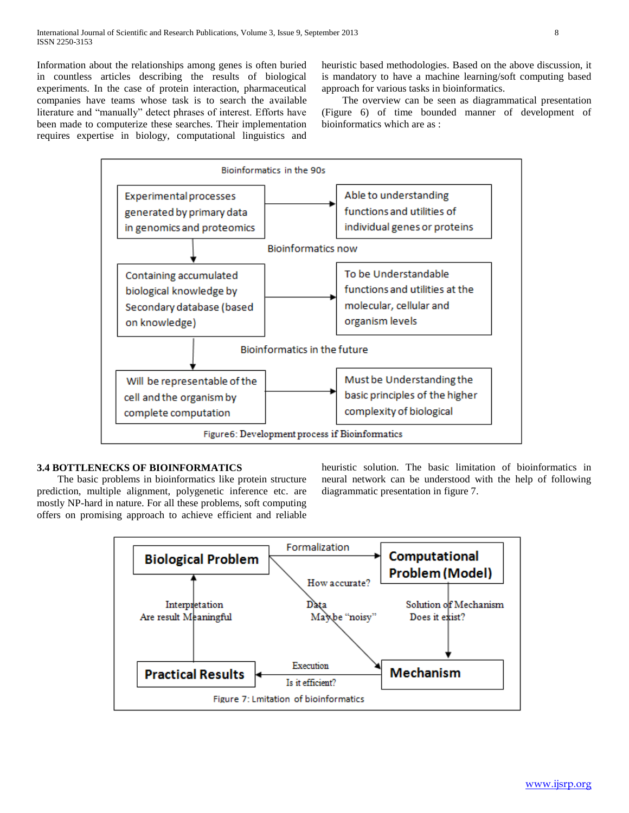Information about the relationships among genes is often buried in countless articles describing the results of biological experiments. In the case of protein interaction, pharmaceutical companies have teams whose task is to search the available literature and "manually" detect phrases of interest. Efforts have been made to computerize these searches. Their implementation requires expertise in biology, computational linguistics and heuristic based methodologies. Based on the above discussion, it is mandatory to have a machine learning/soft computing based approach for various tasks in bioinformatics.

 The overview can be seen as diagrammatical presentation (Figure 6) of time bounded manner of development of bioinformatics which are as :



## **3.4 BOTTLENECKS OF BIOINFORMATICS**

 The basic problems in bioinformatics like protein structure prediction, multiple alignment, polygenetic inference etc. are mostly NP-hard in nature. For all these problems, soft computing offers on promising approach to achieve efficient and reliable heuristic solution. The basic limitation of bioinformatics in neural network can be understood with the help of following diagrammatic presentation in figure 7.

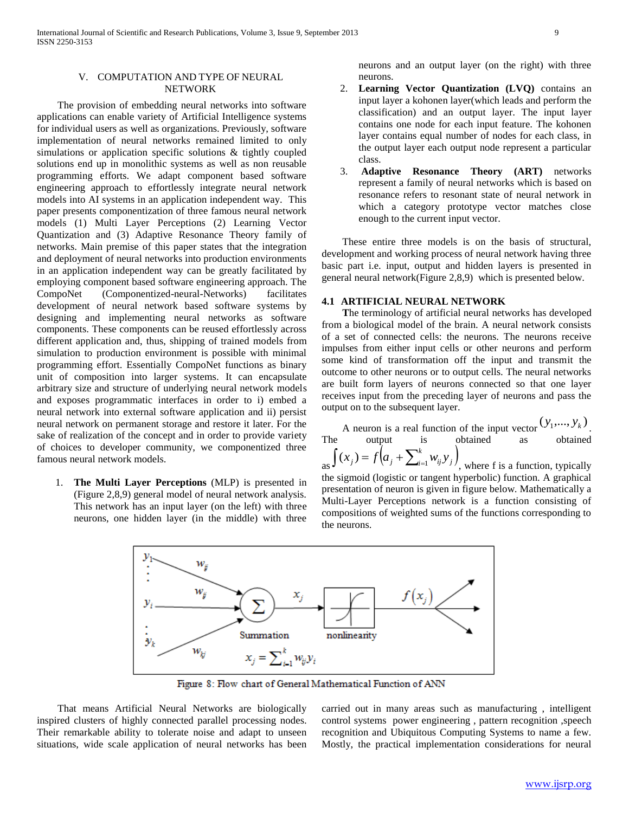### V. COMPUTATION AND TYPE OF NEURAL **NETWORK**

 The provision of embedding neural networks into software applications can enable variety of Artificial Intelligence systems for individual users as well as organizations. Previously, software implementation of neural networks remained limited to only simulations or application specific solutions & tightly coupled solutions end up in monolithic systems as well as non reusable programming efforts. We adapt component based software engineering approach to effortlessly integrate neural network models into AI systems in an application independent way. This paper presents componentization of three famous neural network models (1) Multi Layer Perceptions (2) Learning Vector Quantization and (3) Adaptive Resonance Theory family of networks. Main premise of this paper states that the integration and deployment of neural networks into production environments in an application independent way can be greatly facilitated by employing component based software engineering approach. The CompoNet (Componentized-neural-Networks) facilitates development of neural network based software systems by designing and implementing neural networks as software components. These components can be reused effortlessly across different application and, thus, shipping of trained models from simulation to production environment is possible with minimal programming effort. Essentially CompoNet functions as binary unit of composition into larger systems. It can encapsulate arbitrary size and structure of underlying neural network models and exposes programmatic interfaces in order to i) embed a neural network into external software application and ii) persist neural network on permanent storage and restore it later. For the sake of realization of the concept and in order to provide variety of choices to developer community, we componentized three famous neural network models.

1. **The Multi Layer Perceptions** (MLP) is presented in (Figure 2,8,9) general model of neural network analysis. This network has an input layer (on the left) with three neurons, one hidden layer (in the middle) with three

neurons and an output layer (on the right) with three neurons.

- 2. **Learning Vector Quantization (LVQ)** contains an input layer a kohonen layer(which leads and perform the classification) and an output layer. The input layer contains one node for each input feature. The kohonen layer contains equal number of nodes for each class, in the output layer each output node represent a particular class.
- 3. **Adaptive Resonance Theory (ART)** networks represent a family of neural networks which is based on resonance refers to resonant state of neural network in which a category prototype vector matches close enough to the current input vector.

 These entire three models is on the basis of structural, development and working process of neural network having three basic part i.e. input, output and hidden layers is presented in general neural network(Figure 2,8,9) which is presented below.

## **4.1 ARTIFICIAL NEURAL NETWORK**

 **T**he terminology of artificial neural networks has developed from a biological model of the brain. A neural network consists of a set of connected cells: the neurons. The neurons receive impulses from either input cells or other neurons and perform some kind of transformation off the input and transmit the outcome to other neurons or to output cells. The neural networks are built form layers of neurons connected so that one layer receives input from the preceding layer of neurons and pass the output on to the subsequent layer.

A neuron is a real function of the input vector  $(y_1,..., y_k)$ . The output is obtained as obtained  $\int (x_j) = f\Big(a_j + \sum_{i=1}^k w_{ij} y_j\Big)$  $f(x_j) = f\left(a_j + \sum_{i=1}^k w_{ij} y_j\right)$ , where f is a function, typically the sigmoid (logistic or tangent hyperbolic) function. A graphical

presentation of neuron is given in figure below. Mathematically a Multi-Layer Perceptions network is a function consisting of compositions of weighted sums of the functions corresponding to the neurons.



Figure 8: Flow chart of General Mathematical Function of ANN

 That means Artificial Neural Networks are biologically inspired clusters of highly connected parallel processing nodes. Their remarkable ability to tolerate noise and adapt to unseen situations, wide scale application of neural networks has been carried out in many areas such as manufacturing , intelligent control systems power engineering , pattern recognition ,speech recognition and Ubiquitous Computing Systems to name a few. Mostly, the practical implementation considerations for neural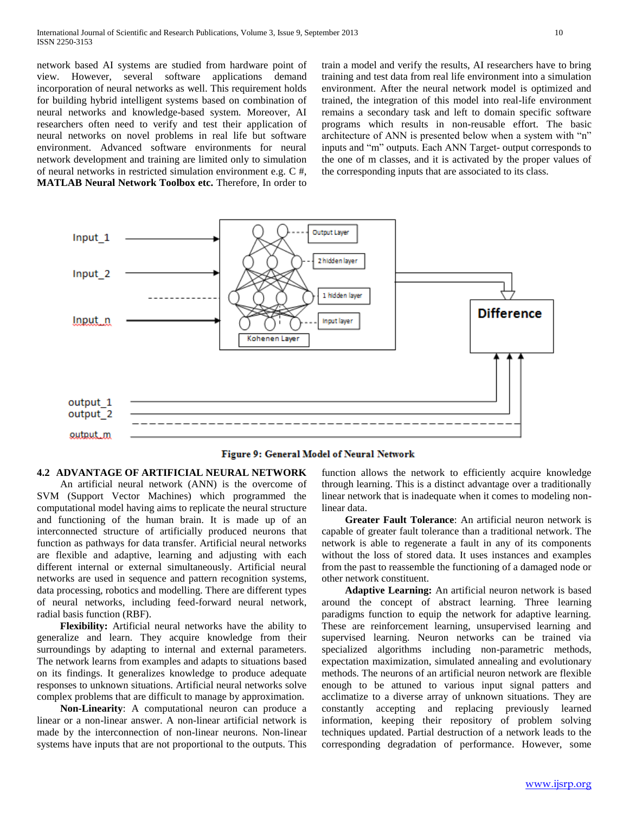network based AI systems are studied from hardware point of view. However, several software applications demand incorporation of neural networks as well. This requirement holds for building hybrid intelligent systems based on combination of neural networks and knowledge-based system. Moreover, AI researchers often need to verify and test their application of neural networks on novel problems in real life but software environment. Advanced software environments for neural network development and training are limited only to simulation of neural networks in restricted simulation environment e.g. C #, **MATLAB Neural Network Toolbox etc.** Therefore, In order to

train a model and verify the results, AI researchers have to bring training and test data from real life environment into a simulation environment. After the neural network model is optimized and trained, the integration of this model into real-life environment remains a secondary task and left to domain specific software programs which results in non-reusable effort. The basic architecture of ANN is presented below when a system with "n" inputs and "m" outputs. Each ANN Target- output corresponds to the one of m classes, and it is activated by the proper values of the corresponding inputs that are associated to its class.



#### Figure 9: General Model of Neural Network

#### **4.2 ADVANTAGE OF ARTIFICIAL NEURAL NETWORK**

 An artificial neural network (ANN) is the overcome of SVM (Support Vector Machines) which programmed the computational model having aims to replicate the neural structure and functioning of the human brain. It is made up of an interconnected structure of artificially produced neurons that function as pathways for data transfer. Artificial neural networks are flexible and adaptive, learning and adjusting with each different internal or external simultaneously. Artificial neural networks are used in sequence and pattern recognition systems, data processing, robotics and modelling. There are different types of neural networks, including feed-forward neural network, radial basis function (RBF).

 **Flexibility:** Artificial neural networks have the ability to generalize and learn. They acquire knowledge from their surroundings by adapting to internal and external parameters. The network learns from examples and adapts to situations based on its findings. It generalizes knowledge to produce adequate responses to unknown situations. Artificial neural networks solve complex problems that are difficult to manage by approximation.

 **Non-Linearity**: A computational neuron can produce a linear or a non-linear answer. A non-linear artificial network is made by the interconnection of non-linear neurons. Non-linear systems have inputs that are not proportional to the outputs. This

function allows the network to efficiently acquire knowledge through learning. This is a distinct advantage over a traditionally linear network that is inadequate when it comes to modeling nonlinear data.

 **Greater Fault Tolerance**: An artificial neuron network is capable of greater fault tolerance than a traditional network. The network is able to regenerate a fault in any of its components without the loss of stored data. It uses instances and examples from the past to reassemble the functioning of a damaged node or other network constituent.

 **Adaptive Learning:** An artificial neuron network is based around the concept of abstract learning. Three learning paradigms function to equip the network for adaptive learning. These are reinforcement learning, unsupervised learning and supervised learning. Neuron networks can be trained via specialized algorithms including non-parametric methods, expectation maximization, simulated annealing and evolutionary methods. The neurons of an artificial neuron network are flexible enough to be attuned to various input signal patters and acclimatize to a diverse array of unknown situations. They are constantly accepting and replacing previously learned information, keeping their repository of problem solving techniques updated. Partial destruction of a network leads to the corresponding degradation of performance. However, some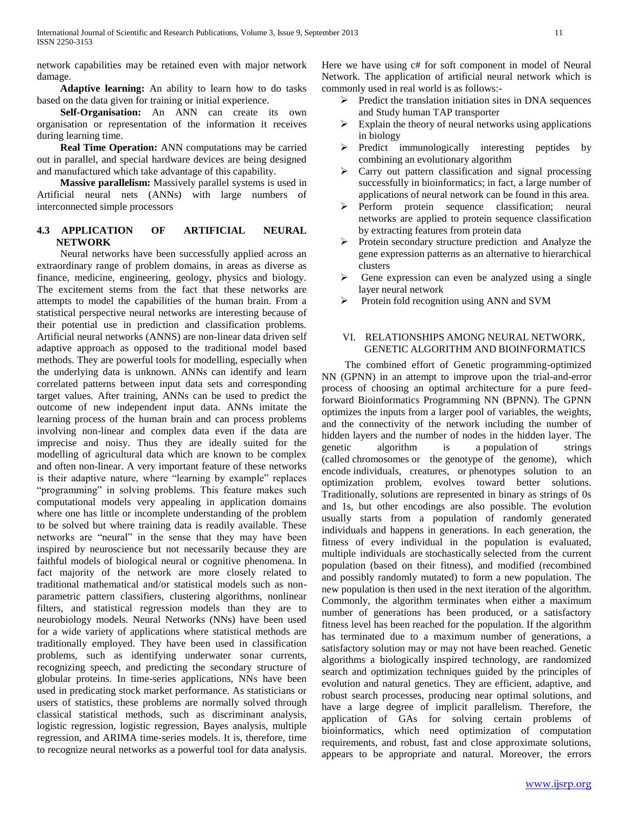network capabilities may be retained even with major network damage.

 **Adaptive learning:** An ability to learn how to do tasks based on the data given for training or initial experience.

 **Self-Organisation:** An ANN can create its own organisation or representation of the information it receives during learning time.

 **Real Time Operation:** ANN computations may be carried out in parallel, and special hardware devices are being designed and manufactured which take advantage of this capability.

 **Massive parallelism:** Massively parallel systems is used in Artificial neural nets (ANNs) with large numbers of interconnected simple processors

# **4.3 APPLICATION OF ARTIFICIAL NEURAL NETWORK**

 Neural networks have been successfully applied across an extraordinary range of problem domains, in areas as diverse as finance, medicine, engineering, geology, physics and biology. The excitement stems from the fact that these networks are attempts to model the capabilities of the human brain. From a statistical perspective neural networks are interesting because of their potential use in prediction and classification problems. Artificial neural networks (ANNS) are non-linear data driven self adaptive approach as opposed to the traditional model based methods. They are powerful tools for modelling, especially when the underlying data is unknown. ANNs can identify and learn correlated patterns between input data sets and corresponding target values. After training, ANNs can be used to predict the outcome of new independent input data. ANNs imitate the learning process of the human brain and can process problems involving non-linear and complex data even if the data are imprecise and noisy. Thus they are ideally suited for the modelling of agricultural data which are known to be complex and often non-linear. A very important feature of these networks is their adaptive nature, where "learning by example" replaces "programming" in solving problems. This feature makes such computational models very appealing in application domains where one has little or incomplete understanding of the problem to be solved but where training data is readily available. These networks are "neural" in the sense that they may have been inspired by neuroscience but not necessarily because they are faithful models of biological neural or cognitive phenomena. In fact majority of the network are more closely related to traditional mathematical and/or statistical models such as nonparametric pattern classifiers, clustering algorithms, nonlinear filters, and statistical regression models than they are to neurobiology models. Neural Networks (NNs) have been used for a wide variety of applications where statistical methods are traditionally employed. They have been used in classification problems, such as identifying underwater sonar currents, recognizing speech, and predicting the secondary structure of globular proteins. In time-series applications, NNs have been used in predicating stock market performance. As statisticians or users of statistics, these problems are normally solved through classical statistical methods, such as discriminant analysis, logistic regression, logistic regression, Bayes analysis, multiple regression, and ARIMA time-series models. It is, therefore, time to recognize neural networks as a powerful tool for data analysis. Here we have using c# for soft component in model of Neural Network. The application of artificial neural network which is commonly used in real world is as follows:-

- $\triangleright$  Predict the translation initiation sites in DNA sequences and Study human TAP transporter
- $\triangleright$  Explain the theory of neural networks using applications in biology
- > Predict immunologically interesting peptides by combining an evolutionary algorithm
- Carry out pattern classification and signal processing successfully in bioinformatics; in fact, a large number of applications of neural network can be found in this area.
- Perform protein sequence classification; neural networks are applied to protein sequence classification by extracting features from protein data
- Protein secondary structure prediction and Analyze the gene expression patterns as an alternative to hierarchical clusters
- $\triangleright$  Gene expression can even be analyzed using a single layer neural network
- $\triangleright$  Protein fold recognition using ANN and SVM

## VI. RELATIONSHIPS AMONG NEURAL NETWORK, GENETIC ALGORITHM AND BIOINFORMATICS

 The combined effort of Genetic programming-optimized NN (GPNN) in an attempt to improve upon the trial-and-error process of choosing an optimal architecture for a pure feedforward Bioinformatics Programming NN (BPNN). The GPNN optimizes the inputs from a larger pool of variables, the weights, and the connectivity of the network including the number of hidden layers and the number of nodes in the hidden layer. The genetic algorithm is a population of strings (called chromosomes or the genotype of the genome), which encode individuals, creatures, or phenotypes solution to an optimization problem, evolves toward better solutions. Traditionally, solutions are represented in binary as strings of 0s and 1s, but other encodings are also possible. The evolution usually starts from a population of randomly generated individuals and happens in generations. In each generation, the fitness of every individual in the population is evaluated, multiple individuals are stochastically selected from the current population (based on their fitness), and modified (recombined and possibly randomly mutated) to form a new population. The new population is then used in the next iteration of the algorithm. Commonly, the algorithm terminates when either a maximum number of generations has been produced, or a satisfactory fitness level has been reached for the population. If the algorithm has terminated due to a maximum number of generations, a satisfactory solution may or may not have been reached. Genetic algorithms a biologically inspired technology, are randomized search and optimization techniques guided by the principles of evolution and natural genetics. They are efficient, adaptive, and robust search processes, producing near optimal solutions, and have a large degree of implicit parallelism. Therefore, the application of GAs for solving certain problems of bioinformatics, which need optimization of computation requirements, and robust, fast and close approximate solutions, appears to be appropriate and natural. Moreover, the errors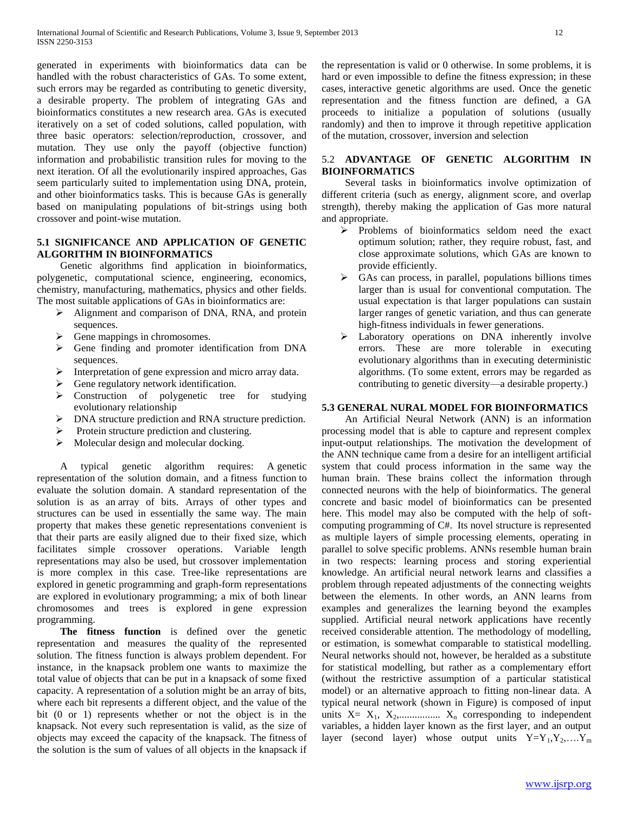generated in experiments with bioinformatics data can be handled with the robust characteristics of GAs. To some extent, such errors may be regarded as contributing to genetic diversity, a desirable property. The problem of integrating GAs and bioinformatics constitutes a new research area. GAs is executed iteratively on a set of coded solutions, called population, with three basic operators: selection/reproduction, crossover, and mutation. They use only the payoff (objective function) information and probabilistic transition rules for moving to the next iteration. Of all the evolutionarily inspired approaches, Gas seem particularly suited to implementation using DNA, protein, and other bioinformatics tasks. This is because GAs is generally based on manipulating populations of bit-strings using both crossover and point-wise mutation.

## **5.1 SIGNIFICANCE AND APPLICATION OF GENETIC ALGORITHM IN BIOINFORMATICS**

 Genetic algorithms find application in bioinformatics, polygenetic, computational science, engineering, economics, chemistry, manufacturing, mathematics, physics and other fields. The most suitable applications of GAs in bioinformatics are:

- Alignment and comparison of DNA, RNA, and protein sequences.
- $\triangleright$  Gene mappings in chromosomes.
- Gene finding and promoter identification from DNA sequences.
- $\triangleright$  Interpretation of gene expression and micro array data.
- Gene regulatory network identification.
- Solution of polygenetic tree for studying evolutionary relationship
- $\triangleright$  DNA structure prediction and RNA structure prediction.
- $\triangleright$  Protein structure prediction and clustering.
- $\triangleright$  Molecular design and molecular docking.

 A typical genetic algorithm requires: A genetic representation of the solution domain, and a fitness function to evaluate the solution domain. A standard representation of the solution is as an array of bits. Arrays of other types and structures can be used in essentially the same way. The main property that makes these genetic representations convenient is that their parts are easily aligned due to their fixed size, which facilitates simple crossover operations. Variable length representations may also be used, but crossover implementation is more complex in this case. Tree-like representations are explored in genetic programming and graph-form representations are explored in evolutionary programming; a mix of both linear chromosomes and trees is explored in gene expression programming.

 **The fitness function** is defined over the genetic representation and measures the quality of the represented solution. The fitness function is always problem dependent. For instance, in the knapsack problem one wants to maximize the total value of objects that can be put in a knapsack of some fixed capacity. A representation of a solution might be an array of bits, where each bit represents a different object, and the value of the bit (0 or 1) represents whether or not the object is in the knapsack. Not every such representation is valid, as the size of objects may exceed the capacity of the knapsack. The fitness of the solution is the sum of values of all objects in the knapsack if

the representation is valid or 0 otherwise. In some problems, it is hard or even impossible to define the fitness expression; in these cases, interactive genetic algorithms are used. Once the genetic representation and the fitness function are defined, a GA proceeds to initialize a population of solutions (usually randomly) and then to improve it through repetitive application of the mutation, crossover, inversion and selection

## 5.2 **ADVANTAGE OF GENETIC ALGORITHM IN BIOINFORMATICS**

 Several tasks in bioinformatics involve optimization of different criteria (such as energy, alignment score, and overlap strength), thereby making the application of Gas more natural and appropriate.

- Problems of bioinformatics seldom need the exact optimum solution; rather, they require robust, fast, and close approximate solutions, which GAs are known to provide efficiently.
- GAs can process, in parallel, populations billions times larger than is usual for conventional computation. The usual expectation is that larger populations can sustain larger ranges of genetic variation, and thus can generate high-fitness individuals in fewer generations.
- Laboratory operations on DNA inherently involve errors. These are more tolerable in executing evolutionary algorithms than in executing deterministic algorithms. (To some extent, errors may be regarded as contributing to genetic diversity—a desirable property.)

## **5.3 GENERAL NURAL MODEL FOR BIOINFORMATICS**

 An Artificial Neural Network (ANN) is an information processing model that is able to capture and represent complex input-output relationships. The motivation the development of the ANN technique came from a desire for an intelligent artificial system that could process information in the same way the human brain. These brains collect the information through connected neurons with the help of bioinformatics. The general concrete and basic model of bioinformatics can be presented here. This model may also be computed with the help of softcomputing programming of C#. Its novel structure is represented as multiple layers of simple processing elements, operating in parallel to solve specific problems. ANNs resemble human brain in two respects: learning process and storing experiential knowledge. An artificial neural network learns and classifies a problem through repeated adjustments of the connecting weights between the elements. In other words, an ANN learns from examples and generalizes the learning beyond the examples supplied. Artificial neural network applications have recently received considerable attention. The methodology of modelling, or estimation, is somewhat comparable to statistical modelling. Neural networks should not, however, be heralded as a substitute for statistical modelling, but rather as a complementary effort (without the restrictive assumption of a particular statistical model) or an alternative approach to fitting non-linear data. A typical neural network (shown in Figure) is composed of input units  $X = X_1, X_2, \ldots, X_n$  corresponding to independent variables, a hidden layer known as the first layer, and an output layer (second layer) whose output units  $Y=Y_1, Y_2,...,Y_m$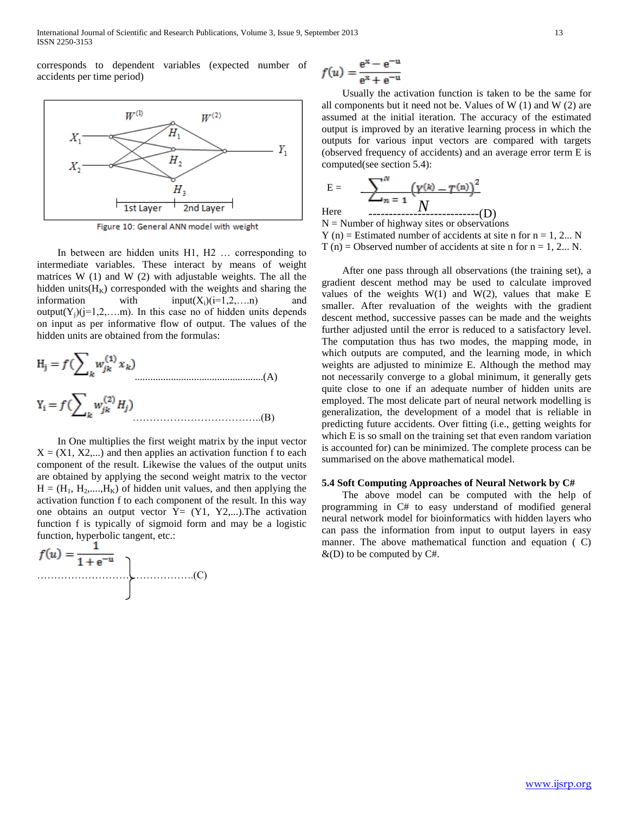corresponds to dependent variables (expected number of accidents per time period)



Figure 10: General ANN model with weight

 In between are hidden units H1, H2 … corresponding to intermediate variables. These interact by means of weight matrices W (1) and W (2) with adjustable weights. The all the hidden units( $H_K$ ) corresponded with the weights and sharing the information with input $(X_i)(i=1,2,...n)$  and output(Y<sub>i</sub>)( $j=1,2,...m$ ). In this case no of hidden units depends on input as per informative flow of output. The values of the hidden units are obtained from the formulas:

$$
H_{j} = f\left(\sum_{k} w_{jk}^{(1)} x_{k}\right)
$$
  

$$
Y_{i} = f\left(\sum_{k} w_{jk}^{(2)} H_{j}\right)
$$
 (A)

 In One multiplies the first weight matrix by the input vector  $X = (X1, X2,...)$  and then applies an activation function f to each component of the result. Likewise the values of the output units are obtained by applying the second weight matrix to the vector  $H = (H_1, H_2, \ldots, H_K)$  of hidden unit values, and then applying the activation function f to each component of the result. In this way one obtains an output vector  $Y = (Y1, Y2,...)$ . The activation function f is typically of sigmoid form and may be a logistic function, hyperbolic tangent, etc.:



$$
f(u) = \frac{e^{x} - e^{-u}}{e^{x} + e^{-u}}
$$

 Usually the activation function is taken to be the same for all components but it need not be. Values of  $W(1)$  and  $W(2)$  are assumed at the initial iteration. The accuracy of the estimated output is improved by an iterative learning process in which the outputs for various input vectors are compared with targets (observed frequency of accidents) and an average error term E is computed(see section 5.4):

$$
E = \frac{\sum_{n=1}^{N} (y(k) - T^{(n)})^2}{N}
$$
  
Here

 $N =$  Number of highway sites or observations

 $Y(n)$  = Estimated number of accidents at site n for  $n = 1, 2...$  N  $T(n) =$  Observed number of accidents at site n for  $n = 1, 2...$  N.

 After one pass through all observations (the training set), a gradient descent method may be used to calculate improved values of the weights  $W(1)$  and  $W(2)$ , values that make E smaller. After revaluation of the weights with the gradient descent method, successive passes can be made and the weights further adjusted until the error is reduced to a satisfactory level. The computation thus has two modes, the mapping mode, in which outputs are computed, and the learning mode, in which weights are adjusted to minimize E. Although the method may not necessarily converge to a global minimum, it generally gets quite close to one if an adequate number of hidden units are employed. The most delicate part of neural network modelling is generalization, the development of a model that is reliable in predicting future accidents. Over fitting (i.e., getting weights for which E is so small on the training set that even random variation is accounted for) can be minimized. The complete process can be summarised on the above mathematical model.

## **5.4 Soft Computing Approaches of Neural Network by C#**

 The above model can be computed with the help of programming in C# to easy understand of modified general neural network model for bioinformatics with hidden layers who can pass the information from input to output layers in easy manner. The above mathematical function and equation ( C)  $\&$ (D) to be computed by C#.